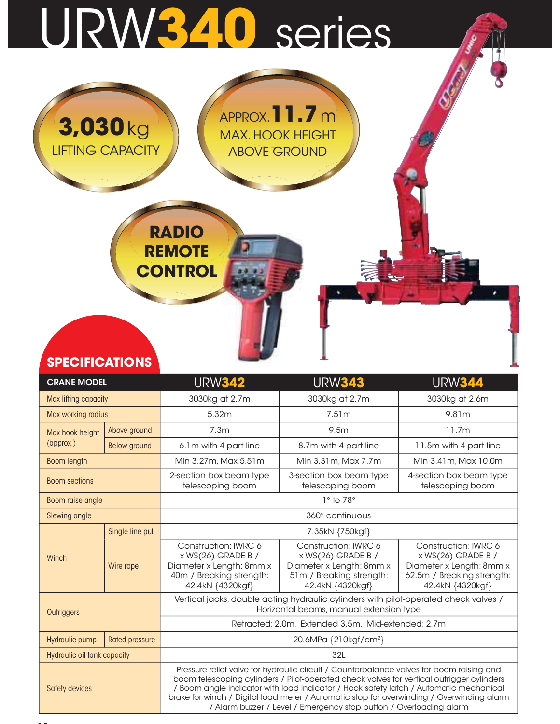## URW340 series

RADIO

**REMOTE** 

**CONTROL** 

APPROX.11.7 m

MAX. HOOK HEIGHT ABOVE GROUND

| <b>SPECIFICATIONS</b> |  |
|-----------------------|--|
|                       |  |

3,030kg

LIFTING CAPACITY

| <b>SPECIFICATIONS</b>       |                                                    |                                                                                                                        |                                                                                                                                                                                                                                                                                                                                                                                                                                                   |                                                                                                                          |  |  |  |  |
|-----------------------------|----------------------------------------------------|------------------------------------------------------------------------------------------------------------------------|---------------------------------------------------------------------------------------------------------------------------------------------------------------------------------------------------------------------------------------------------------------------------------------------------------------------------------------------------------------------------------------------------------------------------------------------------|--------------------------------------------------------------------------------------------------------------------------|--|--|--|--|
| <b>CRANE MODEL</b>          |                                                    | <b>URW344</b><br><b>URW342</b><br><b>URW343</b>                                                                        |                                                                                                                                                                                                                                                                                                                                                                                                                                                   |                                                                                                                          |  |  |  |  |
| Max lifting capacity        |                                                    | 3030kg at 2.7m                                                                                                         | 3030kg at 2.7m                                                                                                                                                                                                                                                                                                                                                                                                                                    | 3030kg at 2.6m                                                                                                           |  |  |  |  |
| Max working radius          |                                                    | 5.32m                                                                                                                  | 7.51m                                                                                                                                                                                                                                                                                                                                                                                                                                             | 9.81m                                                                                                                    |  |  |  |  |
| Max hook height             | Above ground                                       | 7.3m                                                                                                                   | 9.5m                                                                                                                                                                                                                                                                                                                                                                                                                                              | 11.7m                                                                                                                    |  |  |  |  |
| (approx.)                   | Below ground                                       | 6.1m with 4-part line                                                                                                  | 8.7m with 4-part line                                                                                                                                                                                                                                                                                                                                                                                                                             | 11.5m with 4-part line                                                                                                   |  |  |  |  |
| <b>Boom length</b>          |                                                    | Min 3.27m, Max 5.51m                                                                                                   | Min 3.31m, Max 7.7m                                                                                                                                                                                                                                                                                                                                                                                                                               | Min 3.41m, Max 10.0m                                                                                                     |  |  |  |  |
| <b>Boom sections</b>        |                                                    | 2-section box beam type<br>telescoping boom                                                                            | 3-section box beam type<br>telescoping boom                                                                                                                                                                                                                                                                                                                                                                                                       | 4-section box beam type<br>telescoping boom                                                                              |  |  |  |  |
| Boom raise angle            |                                                    |                                                                                                                        | $1°$ to $78°$                                                                                                                                                                                                                                                                                                                                                                                                                                     |                                                                                                                          |  |  |  |  |
| Slewing angle               |                                                    |                                                                                                                        | 360° continuous                                                                                                                                                                                                                                                                                                                                                                                                                                   |                                                                                                                          |  |  |  |  |
|                             | Single line pull                                   |                                                                                                                        | 7.35kN {750kgf}                                                                                                                                                                                                                                                                                                                                                                                                                                   |                                                                                                                          |  |  |  |  |
| Winch                       | Wire rope                                          | Construction: IWRC 6<br>x WS(26) GRADE B /<br>Diameter x Length: 8mm x<br>40m / Breaking strength:<br>42.4kN {4320kgf} | Construction: IWRC 6<br>x WS(26) GRADE B /<br>Diameter x Length: 8mm x<br>51m / Breaking strength:<br>42.4kN {4320kgf}                                                                                                                                                                                                                                                                                                                            | Construction: IWRC 6<br>x WS(26) GRADE B /<br>Diameter x Length: 8mm x<br>62.5m / Breaking strength:<br>42.4kN {4320kgf} |  |  |  |  |
| Outriggers                  |                                                    |                                                                                                                        | Vertical jacks, double acting hydraulic cylinders with pilot-operated check valves /<br>Horizontal beams, manual extension type                                                                                                                                                                                                                                                                                                                   |                                                                                                                          |  |  |  |  |
|                             | Retracted: 2.0m, Extended 3.5m, Mid-extended: 2.7m |                                                                                                                        |                                                                                                                                                                                                                                                                                                                                                                                                                                                   |                                                                                                                          |  |  |  |  |
| Hydraulic pump              | <b>Rated pressure</b>                              |                                                                                                                        | 20.6MPa {210kgf/cm <sup>2</sup> }                                                                                                                                                                                                                                                                                                                                                                                                                 |                                                                                                                          |  |  |  |  |
| Hydraulic oil tank capacity |                                                    |                                                                                                                        | 32L                                                                                                                                                                                                                                                                                                                                                                                                                                               |                                                                                                                          |  |  |  |  |
| Safety devices              |                                                    |                                                                                                                        | Pressure relief valve for hydraulic circuit / Counterbalance valves for boom raising and<br>boom telescoping cylinders / Pilot-operated check valves for vertical outrigger cylinders<br>/ Boom angle indicator with load indicator / Hook safety latch / Automatic mechanical<br>brake for winch / Digital load meter / Automatic stop for overwinding / Overwinding alarm<br>/ Alarm buzzer / Level / Emergency stop button / Overloading alarm |                                                                                                                          |  |  |  |  |